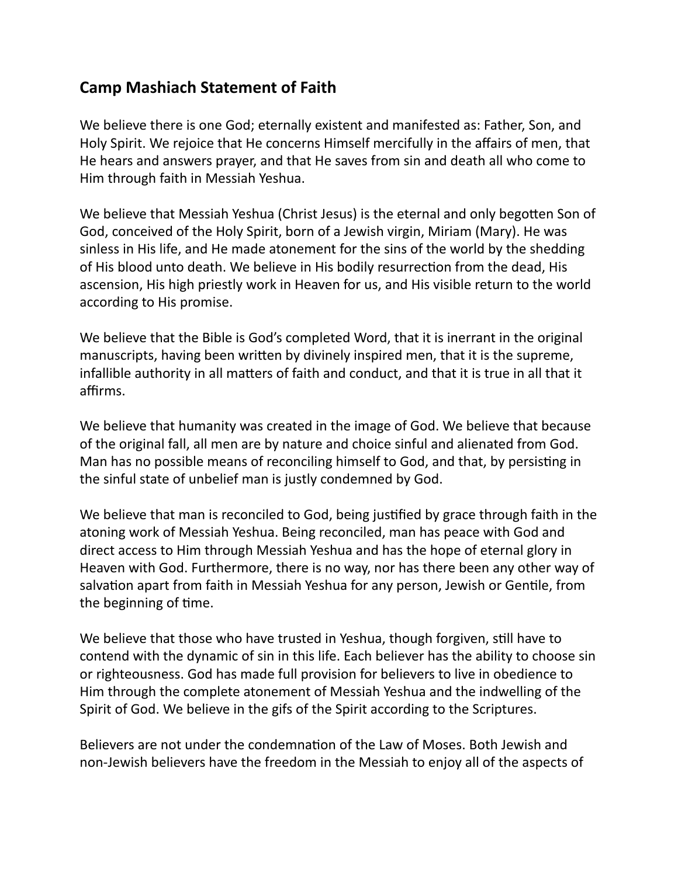## **Camp Mashiach Statement of Faith**

We believe there is one God; eternally existent and manifested as: Father, Son, and Holy Spirit. We rejoice that He concerns Himself mercifully in the affairs of men, that He hears and answers prayer, and that He saves from sin and death all who come to Him through faith in Messiah Yeshua.

We believe that Messiah Yeshua (Christ Jesus) is the eternal and only begotten Son of God, conceived of the Holy Spirit, born of a Jewish virgin, Miriam (Mary). He was sinless in His life, and He made atonement for the sins of the world by the shedding of His blood unto death. We believe in His bodily resurrection from the dead, His ascension, His high priestly work in Heaven for us, and His visible return to the world according to His promise.

We believe that the Bible is God's completed Word, that it is inerrant in the original manuscripts, having been written by divinely inspired men, that it is the supreme, infallible authority in all matters of faith and conduct, and that it is true in all that it affirms.

We believe that humanity was created in the image of God. We believe that because of the original fall, all men are by nature and choice sinful and alienated from God. Man has no possible means of reconciling himself to God, and that, by persisting in the sinful state of unbelief man is justly condemned by God.

We believe that man is reconciled to God, being justified by grace through faith in the atoning work of Messiah Yeshua. Being reconciled, man has peace with God and direct access to Him through Messiah Yeshua and has the hope of eternal glory in Heaven with God. Furthermore, there is no way, nor has there been any other way of salvation apart from faith in Messiah Yeshua for any person, Jewish or Gentile, from the beginning of time.

We believe that those who have trusted in Yeshua, though forgiven, still have to contend with the dynamic of sin in this life. Each believer has the ability to choose sin or righteousness. God has made full provision for believers to live in obedience to Him through the complete atonement of Messiah Yeshua and the indwelling of the Spirit of God. We believe in the gifs of the Spirit according to the Scriptures.

Believers are not under the condemnation of the Law of Moses. Both Jewish and non-Jewish believers have the freedom in the Messiah to enjoy all of the aspects of